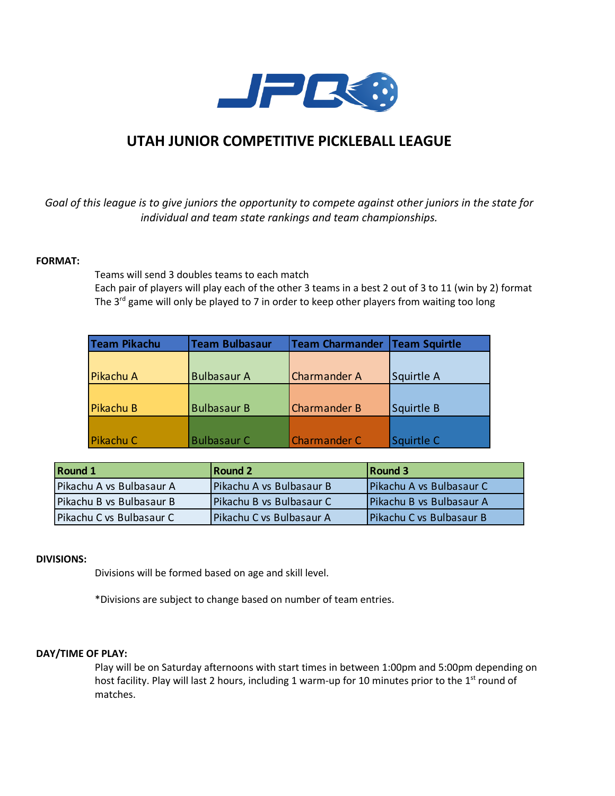

# **UTAH JUNIOR COMPETITIVE PICKLEBALL LEAGUE**

*Goal of this league is to give juniors the opportunity to compete against other juniors in the state for individual and team state rankings and team championships.*

## **FORMAT:**

Teams will send 3 doubles teams to each match

Each pair of players will play each of the other 3 teams in a best 2 out of 3 to 11 (win by 2) format The  $3^{rd}$  game will only be played to 7 in order to keep other players from waiting too long

| Team Pikachu | <b>Team Bulbasaur</b> | <b>Team Charmander</b> | Team Squirtle |
|--------------|-----------------------|------------------------|---------------|
|              |                       |                        |               |
| Pikachu A    | <b>Bulbasaur A</b>    | <b>Charmander A</b>    | Squirtle A    |
|              |                       |                        |               |
| Pikachu B    | <b>Bulbasaur B</b>    | <b>Charmander B</b>    | Squirtle B    |
|              |                       |                        |               |
| Pikachu C    | <b>Bulbasaur C</b>    | <b>Charmander C</b>    | Squirtle C    |

| <b>Round 1</b>           | Round 2                  | Round 3                  |
|--------------------------|--------------------------|--------------------------|
| Pikachu A vs Bulbasaur A | Pikachu A vs Bulbasaur B | Pikachu A vs Bulbasaur C |
| Pikachu B vs Bulbasaur B | Pikachu B vs Bulbasaur C | Pikachu B vs Bulbasaur A |
| Pikachu C vs Bulbasaur C | Pikachu C vs Bulbasaur A | Pikachu C vs Bulbasaur B |

# **DIVISIONS:**

Divisions will be formed based on age and skill level.

\*Divisions are subject to change based on number of team entries.

## **DAY/TIME OF PLAY:**

Play will be on Saturday afternoons with start times in between 1:00pm and 5:00pm depending on host facility. Play will last 2 hours, including 1 warm-up for 10 minutes prior to the  $1<sup>st</sup>$  round of matches.